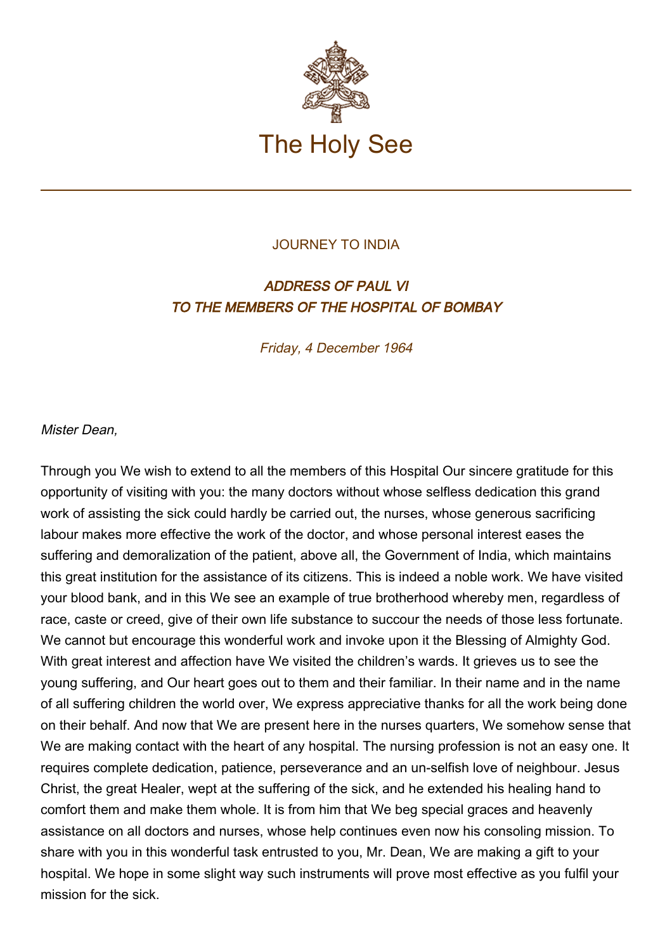

## JOURNEY TO INDIA

## ADDRESS OF PAUL VI TO THE MEMBERS OF THE HOSPITAL OF BOMBAY

Friday, 4 December 1964

Mister Dean,

Through you We wish to extend to all the members of this Hospital Our sincere gratitude for this opportunity of visiting with you: the many doctors without whose selfless dedication this grand work of assisting the sick could hardly be carried out, the nurses, whose generous sacrificing labour makes more effective the work of the doctor, and whose personal interest eases the suffering and demoralization of the patient, above all, the Government of India, which maintains this great institution for the assistance of its citizens. This is indeed a noble work. We have visited your blood bank, and in this We see an example of true brotherhood whereby men, regardless of race, caste or creed, give of their own life substance to succour the needs of those less fortunate. We cannot but encourage this wonderful work and invoke upon it the Blessing of Almighty God. With great interest and affection have We visited the children's wards. It grieves us to see the young suffering, and Our heart goes out to them and their familiar. In their name and in the name of all suffering children the world over, We express appreciative thanks for all the work being done on their behalf. And now that We are present here in the nurses quarters, We somehow sense that We are making contact with the heart of any hospital. The nursing profession is not an easy one. It requires complete dedication, patience, perseverance and an un-selfish love of neighbour. Jesus Christ, the great Healer, wept at the suffering of the sick, and he extended his healing hand to comfort them and make them whole. It is from him that We beg special graces and heavenly assistance on all doctors and nurses, whose help continues even now his consoling mission. To share with you in this wonderful task entrusted to you, Mr. Dean, We are making a gift to your hospital. We hope in some slight way such instruments will prove most effective as you fulfil your mission for the sick.